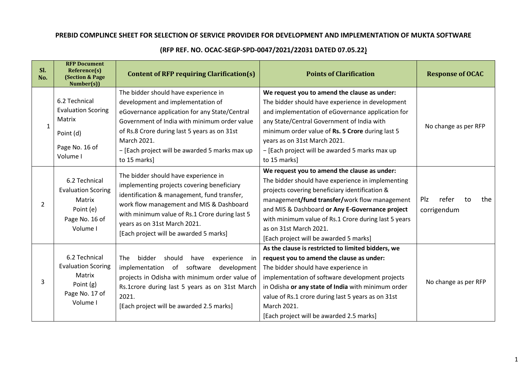## **PREBID COMPLINCE SHEET FOR SELECTION OF SERVICE PROVIDER FOR DEVELOPMENT AND IMPLEMENTATION OF MUKTA SOFTWARE**

| Sl.<br>No.     | <b>RFP Document</b><br>Reference(s)<br><b>(Section &amp; Page)</b><br>Number(s))                | <b>Content of RFP requiring Clarification(s)</b>                                                                                                                                                                                                                                                            | <b>Points of Clarification</b>                                                                                                                                                                                                                                                                                                                                                      | <b>Response of OCAC</b>                  |
|----------------|-------------------------------------------------------------------------------------------------|-------------------------------------------------------------------------------------------------------------------------------------------------------------------------------------------------------------------------------------------------------------------------------------------------------------|-------------------------------------------------------------------------------------------------------------------------------------------------------------------------------------------------------------------------------------------------------------------------------------------------------------------------------------------------------------------------------------|------------------------------------------|
| 1              | 6.2 Technical<br><b>Evaluation Scoring</b><br>Matrix<br>Point (d)<br>Page No. 16 of<br>Volume I | The bidder should have experience in<br>development and implementation of<br>eGovernance application for any State/Central<br>Government of India with minimum order value<br>of Rs.8 Crore during last 5 years as on 31st<br>March 2021.<br>- [Each project will be awarded 5 marks max up<br>to 15 marks] | We request you to amend the clause as under:<br>The bidder should have experience in development<br>and implementation of eGovernance application for<br>any State/Central Government of India with<br>minimum order value of Rs. 5 Crore during last 5<br>years as on 31st March 2021.<br>- [Each project will be awarded 5 marks max up<br>to 15 marks]                           | No change as per RFP                     |
| $\mathfrak{D}$ | 6.2 Technical<br><b>Evaluation Scoring</b><br>Matrix<br>Point (e)<br>Page No. 16 of<br>Volume I | The bidder should have experience in<br>implementing projects covering beneficiary<br>identification & management, fund transfer,<br>work flow management and MIS & Dashboard<br>with minimum value of Rs.1 Crore during last 5<br>years as on 31st March 2021.<br>[Each project will be awarded 5 marks]   | We request you to amend the clause as under:<br>The bidder should have experience in implementing<br>projects covering beneficiary identification &<br>management/fund transfer/work flow management<br>and MIS & Dashboard or Any E-Governance project<br>with minimum value of Rs.1 Crore during last 5 years<br>as on 31st March 2021.<br>[Each project will be awarded 5 marks] | Plz<br>refer<br>the<br>to<br>corrigendum |
| 3              | 6.2 Technical<br><b>Evaluation Scoring</b><br>Matrix<br>Point (g)<br>Page No. 17 of<br>Volume I | bidder<br><b>The</b><br>should<br>experience<br>have<br>in<br>implementation of software<br>development<br>projects in Odisha with minimum order value of<br>Rs.1crore during last 5 years as on 31st March<br>2021.<br>[Each project will be awarded 2.5 marks]                                            | As the clause is restricted to limited bidders, we<br>request you to amend the clause as under:<br>The bidder should have experience in<br>implementation of software development projects<br>in Odisha or any state of India with minimum order<br>value of Rs.1 crore during last 5 years as on 31st<br>March 2021.<br>[Each project will be awarded 2.5 marks]                   | No change as per RFP                     |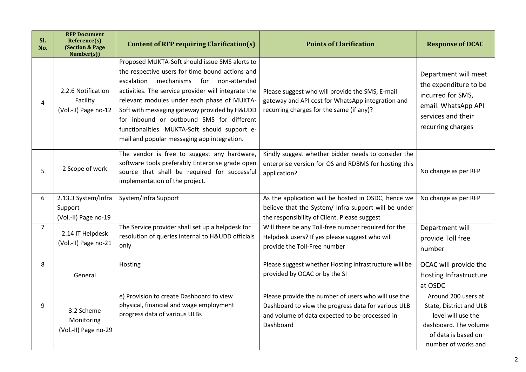| SI.<br>No.     | <b>RFP Document</b><br>Reference(s)<br><b>(Section &amp; Page)</b><br>Number(s))                                                                                                                    | <b>Content of RFP requiring Clarification(s)</b>                                                                                                                                                                                                                                                                                                                                                                                                   | <b>Points of Clarification</b>                                                                                                                                            | <b>Response of OCAC</b>                                                                                                                     |
|----------------|-----------------------------------------------------------------------------------------------------------------------------------------------------------------------------------------------------|----------------------------------------------------------------------------------------------------------------------------------------------------------------------------------------------------------------------------------------------------------------------------------------------------------------------------------------------------------------------------------------------------------------------------------------------------|---------------------------------------------------------------------------------------------------------------------------------------------------------------------------|---------------------------------------------------------------------------------------------------------------------------------------------|
| 4              | 2.2.6 Notification<br>Facility<br>(Vol.-II) Page no-12                                                                                                                                              | Proposed MUKTA-Soft should issue SMS alerts to<br>the respective users for time bound actions and<br>mechanisms for non-attended<br>escalation<br>activities. The service provider will integrate the<br>relevant modules under each phase of MUKTA-<br>Soft with messaging gateway provided by H&UDD<br>for inbound or outbound SMS for different<br>functionalities. MUKTA-Soft should support e-<br>mail and popular messaging app integration. | Please suggest who will provide the SMS, E-mail<br>gateway and API cost for WhatsApp integration and<br>recurring charges for the same (if any)?                          | Department will meet<br>the expenditure to be<br>incurred for SMS,<br>email. WhatsApp API<br>services and their<br>recurring charges        |
| 5              | The vendor is free to suggest any hardware,<br>software tools preferably Enterprise grade open<br>2 Scope of work<br>source that shall be required for successful<br>implementation of the project. |                                                                                                                                                                                                                                                                                                                                                                                                                                                    | Kindly suggest whether bidder needs to consider the<br>enterprise version for OS and RDBMS for hosting this<br>application?                                               | No change as per RFP                                                                                                                        |
| 6              | 2.13.3 System/Infra<br>Support<br>(Vol.-II) Page no-19                                                                                                                                              | System/Infra Support                                                                                                                                                                                                                                                                                                                                                                                                                               | As the application will be hosted in OSDC, hence we<br>believe that the System/ Infra support will be under<br>the responsibility of Client. Please suggest               | No change as per RFP                                                                                                                        |
| $\overline{7}$ | 2.14 IT Helpdesk<br>(Vol.-II) Page no-21                                                                                                                                                            | The Service provider shall set up a helpdesk for<br>resolution of queries internal to H&UDD officials<br>only                                                                                                                                                                                                                                                                                                                                      | Will there be any Toll-free number required for the<br>Helpdesk users? If yes please suggest who will<br>provide the Toll-Free number                                     | Department will<br>provide Toll free<br>number                                                                                              |
| 8              | General                                                                                                                                                                                             | Hosting                                                                                                                                                                                                                                                                                                                                                                                                                                            | Please suggest whether Hosting infrastructure will be<br>provided by OCAC or by the SI                                                                                    | OCAC will provide the<br><b>Hosting Infrastructure</b><br>at OSDC                                                                           |
| 9              | 3.2 Scheme<br>Monitoring<br>(Vol.-II) Page no-29                                                                                                                                                    | e) Provision to create Dashboard to view<br>physical, financial and wage employment<br>progress data of various ULBs                                                                                                                                                                                                                                                                                                                               | Please provide the number of users who will use the<br>Dashboard to view the progress data for various ULB<br>and volume of data expected to be processed in<br>Dashboard | Around 200 users at<br>State, District and ULB<br>level will use the<br>dashboard. The volume<br>of data is based on<br>number of works and |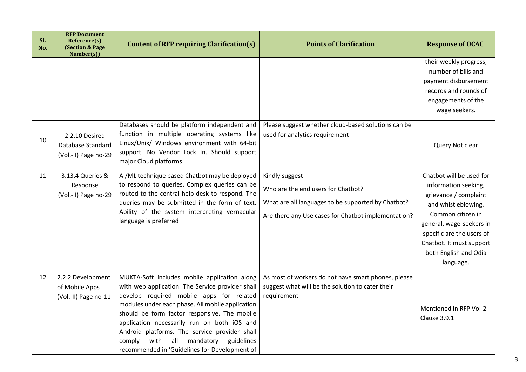| SI.<br>No. | <b>RFP Document</b><br>Reference(s)<br><b>(Section &amp; Page)</b><br>Number(s)) | <b>Content of RFP requiring Clarification(s)</b>                                                                                                                                                                                                                                                                                                                                                                                                      | <b>Points of Clarification</b>                                                                                                                                    | <b>Response of OCAC</b>                                                                                                                                                                                                                          |
|------------|----------------------------------------------------------------------------------|-------------------------------------------------------------------------------------------------------------------------------------------------------------------------------------------------------------------------------------------------------------------------------------------------------------------------------------------------------------------------------------------------------------------------------------------------------|-------------------------------------------------------------------------------------------------------------------------------------------------------------------|--------------------------------------------------------------------------------------------------------------------------------------------------------------------------------------------------------------------------------------------------|
|            |                                                                                  |                                                                                                                                                                                                                                                                                                                                                                                                                                                       |                                                                                                                                                                   | their weekly progress,<br>number of bills and<br>payment disbursement<br>records and rounds of<br>engagements of the<br>wage seekers.                                                                                                            |
| 10         | 2.2.10 Desired<br>Database Standard<br>(Vol.-II) Page no-29                      | Databases should be platform independent and<br>function in multiple operating systems like<br>Linux/Unix/ Windows environment with 64-bit<br>support. No Vendor Lock In. Should support<br>major Cloud platforms.                                                                                                                                                                                                                                    | Please suggest whether cloud-based solutions can be<br>used for analytics requirement                                                                             | Query Not clear                                                                                                                                                                                                                                  |
| 11         | 3.13.4 Queries &<br>Response<br>(Vol.-II) Page no-29                             | AI/ML technique based Chatbot may be deployed<br>to respond to queries. Complex queries can be<br>routed to the central help desk to respond. The<br>queries may be submitted in the form of text.<br>Ability of the system interpreting vernacular<br>language is preferred                                                                                                                                                                          | Kindly suggest<br>Who are the end users for Chatbot?<br>What are all languages to be supported by Chatbot?<br>Are there any Use cases for Chatbot implementation? | Chatbot will be used for<br>information seeking,<br>grievance / complaint<br>and whistleblowing.<br>Common citizen in<br>general, wage-seekers in<br>specific are the users of<br>Chatbot. It must support<br>both English and Odia<br>language. |
| 12         | 2.2.2 Development<br>of Mobile Apps<br>(Vol.-II) Page no-11                      | MUKTA-Soft includes mobile application along<br>with web application. The Service provider shall<br>develop required mobile apps for related<br>modules under each phase. All mobile application<br>should be form factor responsive. The mobile<br>application necessarily run on both iOS and<br>Android platforms. The service provider shall<br>all<br>with<br>mandatory<br>guidelines<br>comply<br>recommended in 'Guidelines for Development of | As most of workers do not have smart phones, please<br>suggest what will be the solution to cater their<br>requirement                                            | Mentioned in RFP Vol-2<br>Clause 3.9.1                                                                                                                                                                                                           |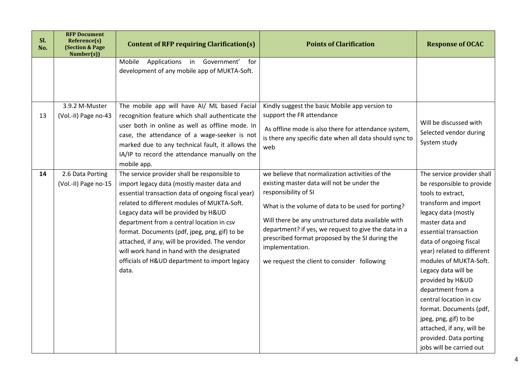| SI.<br>No. | <b>RFP Document</b><br>Reference(s)<br><b>(Section &amp; Page)</b><br>Number(s)) | <b>Content of RFP requiring Clarification(s)</b>                                                                                                                                                                                                                                                                                                                                                                                                                                                | <b>Points of Clarification</b>                                                                                                                                                                                                                                                                                                                                                                                 | <b>Response of OCAC</b>                                                                                                                                                                                                                                                                                                                                                                                                                                                                     |
|------------|----------------------------------------------------------------------------------|-------------------------------------------------------------------------------------------------------------------------------------------------------------------------------------------------------------------------------------------------------------------------------------------------------------------------------------------------------------------------------------------------------------------------------------------------------------------------------------------------|----------------------------------------------------------------------------------------------------------------------------------------------------------------------------------------------------------------------------------------------------------------------------------------------------------------------------------------------------------------------------------------------------------------|---------------------------------------------------------------------------------------------------------------------------------------------------------------------------------------------------------------------------------------------------------------------------------------------------------------------------------------------------------------------------------------------------------------------------------------------------------------------------------------------|
|            |                                                                                  | Applications in Government'<br>Mobile<br>for<br>development of any mobile app of MUKTA-Soft.                                                                                                                                                                                                                                                                                                                                                                                                    |                                                                                                                                                                                                                                                                                                                                                                                                                |                                                                                                                                                                                                                                                                                                                                                                                                                                                                                             |
| 13         | 3.9.2 M-Muster<br>(Vol.-II) Page no-43                                           | The mobile app will have AI/ ML based Facial<br>recognition feature which shall authenticate the<br>user both in online as well as offline mode. In<br>case, the attendance of a wage-seeker is not<br>marked due to any technical fault, it allows the<br>IA/IP to record the attendance manually on the<br>mobile app.                                                                                                                                                                        | Kindly suggest the basic Mobile app version to<br>support the FR attendance<br>As offline mode is also there for attendance system,<br>is there any specific date when all data should sync to<br>web                                                                                                                                                                                                          | Will be discussed with<br>Selected vendor during<br>System study                                                                                                                                                                                                                                                                                                                                                                                                                            |
| 14         | 2.6 Data Porting<br>(Vol.-II) Page no-15                                         | The service provider shall be responsible to<br>import legacy data (mostly master data and<br>essential transaction data of ongoing fiscal year)<br>related to different modules of MUKTA-Soft.<br>Legacy data will be provided by H&UD<br>department from a central location in csv<br>format. Documents (pdf, jpeg, png, gif) to be<br>attached, if any, will be provided. The vendor<br>will work hand in hand with the designated<br>officials of H&UD department to import legacy<br>data. | we believe that normalization activities of the<br>existing master data will not be under the<br>responsibility of SI<br>What is the volume of data to be used for porting?<br>Will there be any unstructured data available with<br>department? if yes, we request to give the data in a<br>prescribed format proposed by the SI during the<br>implementation.<br>we request the client to consider following | The service provider shall<br>be responsible to provide<br>tools to extract,<br>transform and import<br>legacy data (mostly<br>master data and<br>essential transaction<br>data of ongoing fiscal<br>year) related to different<br>modules of MUKTA-Soft.<br>Legacy data will be<br>provided by H&UD<br>department from a<br>central location in csv<br>format. Documents (pdf,<br>jpeg, png, gif) to be<br>attached, if any, will be<br>provided. Data porting<br>jobs will be carried out |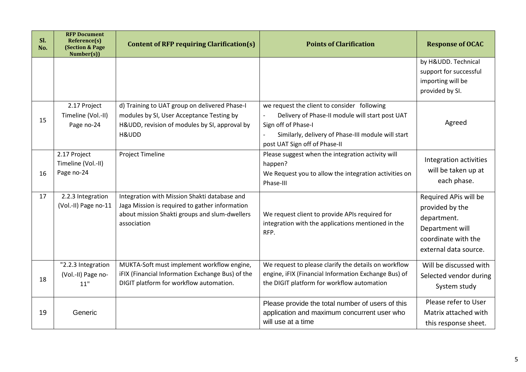| SI.<br>No. | <b>RFP Document</b><br>Reference(s)<br><b>(Section &amp; Page)</b><br>Number(s)) | Content of RFP requiring Clarification(s)                                                                                                                      | <b>Points of Clarification</b>                                                                                                                                                                               | <b>Response of OCAC</b>                                                                                                    |
|------------|----------------------------------------------------------------------------------|----------------------------------------------------------------------------------------------------------------------------------------------------------------|--------------------------------------------------------------------------------------------------------------------------------------------------------------------------------------------------------------|----------------------------------------------------------------------------------------------------------------------------|
|            |                                                                                  |                                                                                                                                                                |                                                                                                                                                                                                              | by H&UDD. Technical<br>support for successful<br>importing will be<br>provided by SI.                                      |
| 15         | 2.17 Project<br>Timeline (Vol.-II)<br>Page no-24                                 | d) Training to UAT group on delivered Phase-I<br>modules by SI, User Acceptance Testing by<br>H&UDD, revision of modules by SI, approval by<br>H&UDD           | we request the client to consider following<br>Delivery of Phase-II module will start post UAT<br>Sign off of Phase-I<br>Similarly, delivery of Phase-III module will start<br>post UAT Sign off of Phase-II | Agreed                                                                                                                     |
| 16         | 2.17 Project<br>Timeline (Vol.-II)<br>Page no-24                                 | Project Timeline                                                                                                                                               | Please suggest when the integration activity will<br>happen?<br>We Request you to allow the integration activities on<br>Phase-III                                                                           | Integration activities<br>will be taken up at<br>each phase.                                                               |
| 17         | 2.2.3 Integration<br>(Vol.-II) Page no-11                                        | Integration with Mission Shakti database and<br>Jaga Mission is required to gather information<br>about mission Shakti groups and slum-dwellers<br>association | We request client to provide APIs required for<br>integration with the applications mentioned in the<br>RFP.                                                                                                 | Required APis will be<br>provided by the<br>department.<br>Department will<br>coordinate with the<br>external data source. |
| 18         | "2.2.3 Integration<br>(Vol.-II) Page no-<br>11"                                  | MUKTA-Soft must implement workflow engine,<br>iFIX (Financial Information Exchange Bus) of the<br>DIGIT platform for workflow automation.                      | We request to please clarify the details on workflow<br>engine, iFIX (Financial Information Exchange Bus) of<br>the DIGIT platform for workflow automation                                                   | Will be discussed with<br>Selected vendor during<br>System study                                                           |
| 19         | Generic                                                                          |                                                                                                                                                                | Please provide the total number of users of this<br>application and maximum concurrent user who<br>will use at a time                                                                                        | Please refer to User<br>Matrix attached with<br>this response sheet.                                                       |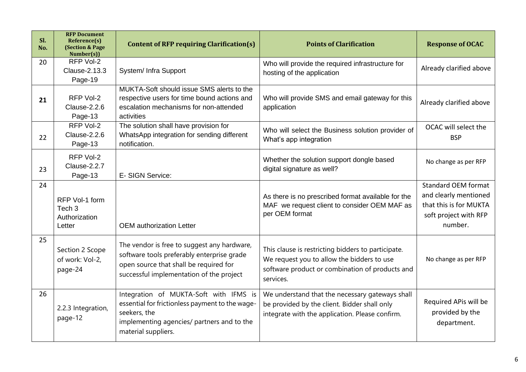| SI.<br>No. | <b>RFP Document</b><br>Reference(s)<br><b>(Section &amp; Page)</b><br>Number(s)) | <b>Content of RFP requiring Clarification(s)</b>                                                                                                                                | <b>Points of Clarification</b>                                                                                                                                   | <b>Response of OCAC</b>                                                                                           |  |
|------------|----------------------------------------------------------------------------------|---------------------------------------------------------------------------------------------------------------------------------------------------------------------------------|------------------------------------------------------------------------------------------------------------------------------------------------------------------|-------------------------------------------------------------------------------------------------------------------|--|
| 20         | RFP Vol-2<br>Clause-2.13.3<br>Page-19                                            | System/ Infra Support                                                                                                                                                           | Who will provide the required infrastructure for<br>hosting of the application                                                                                   | Already clarified above                                                                                           |  |
| 21         | RFP Vol-2<br>Clause-2.2.6<br>Page-13                                             | MUKTA-Soft should issue SMS alerts to the<br>respective users for time bound actions and<br>escalation mechanisms for non-attended<br>activities                                | Who will provide SMS and email gateway for this<br>application                                                                                                   | Already clarified above                                                                                           |  |
| 22         | RFP Vol-2<br>Clause-2.2.6<br>Page-13                                             | The solution shall have provision for<br>WhatsApp integration for sending different<br>notification.                                                                            | Who will select the Business solution provider of<br>What's app integration                                                                                      | OCAC will select the<br><b>BSP</b>                                                                                |  |
| 23         | RFP Vol-2<br>Clause-2.2.7<br>Page-13                                             | E- SIGN Service:                                                                                                                                                                | Whether the solution support dongle based<br>digital signature as well?                                                                                          | No change as per RFP                                                                                              |  |
| 24         | RFP Vol-1 form<br>Tech <sub>3</sub><br>Authorization<br>Letter                   | <b>OEM</b> authorization Letter                                                                                                                                                 | As there is no prescribed format available for the<br>MAF we request client to consider OEM MAF as<br>per OEM format                                             | <b>Standard OEM format</b><br>and clearly mentioned<br>that this is for MUKTA<br>soft project with RFP<br>number. |  |
| 25         | Section 2 Scope<br>of work: Vol-2,<br>page-24                                    | The vendor is free to suggest any hardware,<br>software tools preferably enterprise grade<br>open source that shall be required for<br>successful implementation of the project | This clause is restricting bidders to participate.<br>We request you to allow the bidders to use<br>software product or combination of products and<br>services. | No change as per RFP                                                                                              |  |
| 26         | 2.2.3 Integration,<br>page-12                                                    | Integration of MUKTA-Soft with IFMS is<br>essential for frictionless payment to the wage-<br>seekers, the<br>implementing agencies/ partners and to the<br>material suppliers.  | We understand that the necessary gateways shall<br>be provided by the client. Bidder shall only<br>integrate with the application. Please confirm.               | Required APis will be<br>provided by the<br>department.                                                           |  |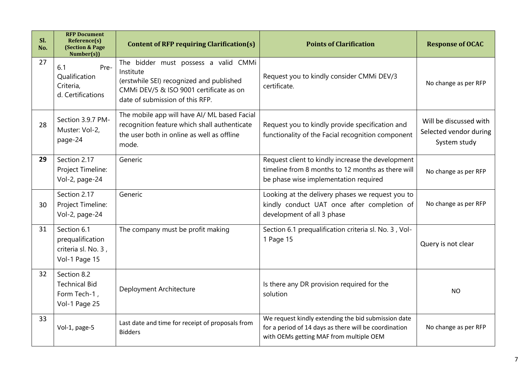| SI.<br>No. | <b>RFP Document</b><br>Reference(s)<br>(Section & Page<br>Number(s))                                                                                                                                  | <b>Content of RFP requiring Clarification(s)</b>                                                                                                                            | <b>Points of Clarification</b>                                                                                                                          | <b>Response of OCAC</b>                                          |
|------------|-------------------------------------------------------------------------------------------------------------------------------------------------------------------------------------------------------|-----------------------------------------------------------------------------------------------------------------------------------------------------------------------------|---------------------------------------------------------------------------------------------------------------------------------------------------------|------------------------------------------------------------------|
| 27         | 6.1<br>Pre-<br>Qualification<br>Criteria,<br>d. Certifications                                                                                                                                        | The bidder must possess a valid CMMi<br>Institute<br>(erstwhile SEI) recognized and published<br>CMMi DEV/5 & ISO 9001 certificate as on<br>date of submission of this RFP. | Request you to kindly consider CMMi DEV/3<br>certificate.                                                                                               | No change as per RFP                                             |
| 28         | The mobile app will have AI/ ML based Facial<br>Section 3.9.7 PM-<br>recognition feature which shall authenticate<br>Muster: Vol-2,<br>the user both in online as well as offline<br>page-24<br>mode. |                                                                                                                                                                             | Request you to kindly provide specification and<br>functionality of the Facial recognition component                                                    | Will be discussed with<br>Selected vendor during<br>System study |
| 29         | Section 2.17<br>Project Timeline:<br>Vol-2, page-24                                                                                                                                                   | Generic                                                                                                                                                                     | Request client to kindly increase the development<br>timeline from 8 months to 12 months as there will<br>be phase wise implementation required         | No change as per RFP                                             |
| 30         | Section 2.17<br>Project Timeline:<br>Vol-2, page-24                                                                                                                                                   | Generic                                                                                                                                                                     | Looking at the delivery phases we request you to<br>kindly conduct UAT once after completion of<br>development of all 3 phase                           | No change as per RFP                                             |
| 31         | Section 6.1<br>prequalification<br>criteria sl. No. 3,<br>Vol-1 Page 15                                                                                                                               | The company must be profit making                                                                                                                                           | Section 6.1 prequalification criteria sl. No. 3, Vol-<br>1 Page 15                                                                                      | Query is not clear                                               |
| 32         | Section 8.2<br><b>Technical Bid</b><br>Form Tech-1,<br>Vol-1 Page 25                                                                                                                                  | Deployment Architecture                                                                                                                                                     | Is there any DR provision required for the<br>solution                                                                                                  | <b>NO</b>                                                        |
| 33         | Vol-1, page-5                                                                                                                                                                                         | Last date and time for receipt of proposals from<br><b>Bidders</b>                                                                                                          | We request kindly extending the bid submission date<br>for a period of 14 days as there will be coordination<br>with OEMs getting MAF from multiple OEM | No change as per RFP                                             |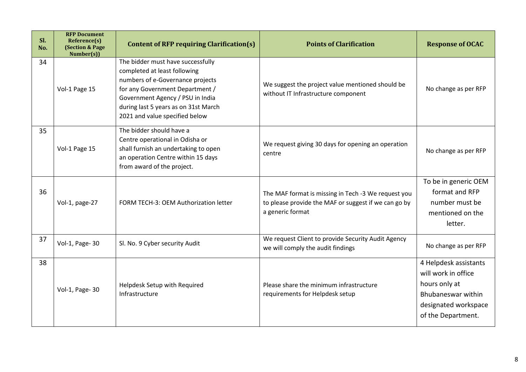| SI.<br>No. | <b>RFP Document</b><br>Reference(s)<br><b>(Section &amp; Page)</b><br>Number(s)) | <b>Content of RFP requiring Clarification(s)</b>                                                                                                                                                                                                       | <b>Points of Clarification</b>                                                                                                  | <b>Response of OCAC</b>                                                                                                           |
|------------|----------------------------------------------------------------------------------|--------------------------------------------------------------------------------------------------------------------------------------------------------------------------------------------------------------------------------------------------------|---------------------------------------------------------------------------------------------------------------------------------|-----------------------------------------------------------------------------------------------------------------------------------|
| 34         | Vol-1 Page 15                                                                    | The bidder must have successfully<br>completed at least following<br>numbers of e-Governance projects<br>for any Government Department /<br>Government Agency / PSU in India<br>during last 5 years as on 31st March<br>2021 and value specified below | We suggest the project value mentioned should be<br>without IT Infrastructure component                                         | No change as per RFP                                                                                                              |
| 35         | Vol-1 Page 15                                                                    | The bidder should have a<br>Centre operational in Odisha or<br>shall furnish an undertaking to open<br>an operation Centre within 15 days<br>from award of the project.                                                                                | We request giving 30 days for opening an operation<br>centre                                                                    | No change as per RFP                                                                                                              |
| 36         | Vol-1, page-27                                                                   | FORM TECH-3: OEM Authorization letter                                                                                                                                                                                                                  | The MAF format is missing in Tech -3 We request you<br>to please provide the MAF or suggest if we can go by<br>a generic format | To be in generic OEM<br>format and RFP<br>number must be<br>mentioned on the<br>letter.                                           |
| 37         | Vol-1, Page-30                                                                   | Sl. No. 9 Cyber security Audit                                                                                                                                                                                                                         | We request Client to provide Security Audit Agency<br>we will comply the audit findings                                         | No change as per RFP                                                                                                              |
| 38         | Vol-1, Page-30                                                                   | Helpdesk Setup with Required<br>Infrastructure                                                                                                                                                                                                         | Please share the minimum infrastructure<br>requirements for Helpdesk setup                                                      | 4 Helpdesk assistants<br>will work in office<br>hours only at<br>Bhubaneswar within<br>designated workspace<br>of the Department. |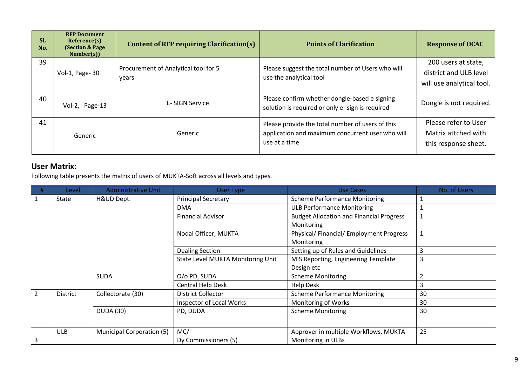| Sl.<br>No. | <b>RFP Document</b><br>Reference(s)<br><b>(Section &amp; Page)</b><br>Number(s) | <b>Content of RFP requiring Clarification(s)</b> | <b>Points of Clarification</b>                                                                                        | <b>Response of OCAC</b>                                                    |
|------------|---------------------------------------------------------------------------------|--------------------------------------------------|-----------------------------------------------------------------------------------------------------------------------|----------------------------------------------------------------------------|
| 39         | Vol-1, Page-30                                                                  | Procurement of Analytical tool for 5<br>years    | Please suggest the total number of Users who will<br>use the analytical tool                                          | 200 users at state,<br>district and ULB level<br>will use analytical tool. |
| 40         | Vol-2, Page-13                                                                  | E-SIGN Service                                   | Please confirm whether dongle-based e signing<br>solution is required or only e- sign is required                     | Dongle is not required.                                                    |
| 41         | Generic                                                                         | Generic                                          | Please provide the total number of users of this<br>application and maximum concurrent user who will<br>use at a time | Please refer to User<br>Matrix attched with<br>this response sheet.        |

## **User Matrix:**

Following table presents the matrix of users of MUKTA-Soft across all levels and types.

| #             | Level           | <b>Administrative Unit</b>       | User Type                         | Use Cases                                                     | No. of Users |
|---------------|-----------------|----------------------------------|-----------------------------------|---------------------------------------------------------------|--------------|
|               | State           | H&UD Dept.                       | <b>Principal Secretary</b>        | <b>Scheme Performance Monitoring</b>                          |              |
|               |                 |                                  | <b>DMA</b>                        | <b>ULB Performance Monitoring</b>                             |              |
|               |                 |                                  | <b>Financial Advisor</b>          | <b>Budget Allocation and Financial Progress</b><br>Monitoring |              |
|               |                 |                                  | Nodal Officer, MUKTA              | Physical/ Financial/ Employment Progress<br>Monitoring        |              |
|               |                 |                                  | <b>Dealing Section</b>            | Setting up of Rules and Guidelines                            | 3            |
|               |                 |                                  | State Level MUKTA Monitoring Unit | MIS Reporting, Engineering Template                           | 3            |
|               |                 |                                  |                                   | Design etc                                                    |              |
|               |                 | <b>SUDA</b>                      | O/o PD, SUDA                      | <b>Scheme Monitoring</b>                                      | ำ            |
|               |                 |                                  | Central Help Desk                 | <b>Help Desk</b>                                              | 3            |
| $\mathcal{P}$ | <b>District</b> | Collectorate (30)                | <b>District Collector</b>         | <b>Scheme Performance Monitoring</b>                          | 30           |
|               |                 |                                  | Inspector of Local Works          | Monitoring of Works                                           | 30           |
|               |                 | <b>DUDA (30)</b>                 | PD, DUDA                          | <b>Scheme Monitoring</b>                                      | 30           |
|               | <b>ULB</b>      | <b>Municipal Corporation (5)</b> | MC/                               | Approver in multiple Workflows, MUKTA                         | 25           |
|               |                 |                                  | Dy Commissioners (5)              | Monitoring in ULBs                                            |              |